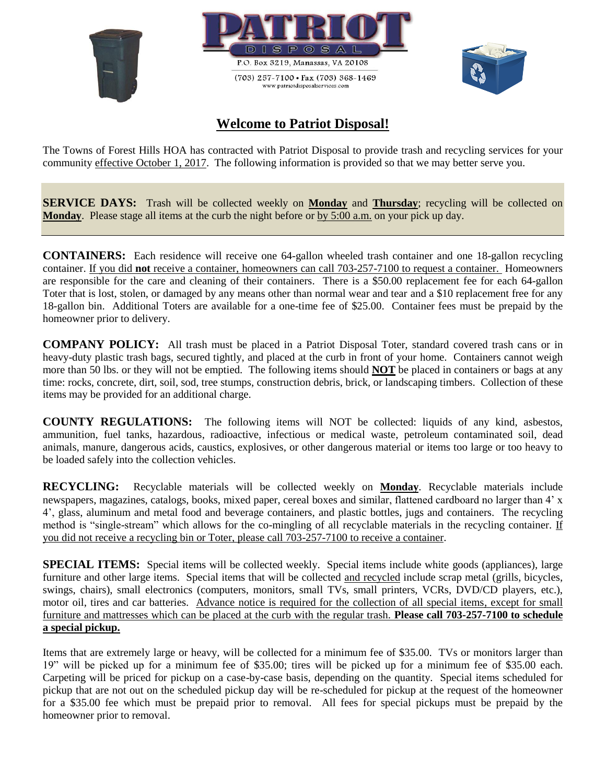





## **Welcome to Patriot Disposal!**

The Towns of Forest Hills HOA has contracted with Patriot Disposal to provide trash and recycling services for your community effective October 1, 2017. The following information is provided so that we may better serve you.

**SERVICE DAYS:** Trash will be collected weekly on **Monday** and **Thursday**; recycling will be collected on **Monday**. Please stage all items at the curb the night before or by 5:00 a.m. on your pick up day.

**CONTAINERS:** Each residence will receive one 64-gallon wheeled trash container and one 18-gallon recycling container. If you did **not** receive a container, homeowners can call 703-257-7100 to request a container. Homeowners are responsible for the care and cleaning of their containers. There is a \$50.00 replacement fee for each 64-gallon Toter that is lost, stolen, or damaged by any means other than normal wear and tear and a \$10 replacement free for any 18-gallon bin. Additional Toters are available for a one-time fee of \$25.00. Container fees must be prepaid by the homeowner prior to delivery.

**COMPANY POLICY:** All trash must be placed in a Patriot Disposal Toter, standard covered trash cans or in heavy-duty plastic trash bags, secured tightly, and placed at the curb in front of your home. Containers cannot weigh more than 50 lbs. or they will not be emptied. The following items should **NOT** be placed in containers or bags at any time: rocks, concrete, dirt, soil, sod, tree stumps, construction debris, brick, or landscaping timbers. Collection of these items may be provided for an additional charge.

**COUNTY REGULATIONS:** The following items will NOT be collected: liquids of any kind, asbestos, ammunition, fuel tanks, hazardous, radioactive, infectious or medical waste, petroleum contaminated soil, dead animals, manure, dangerous acids, caustics, explosives, or other dangerous material or items too large or too heavy to be loaded safely into the collection vehicles.

**RECYCLING:** Recyclable materials will be collected weekly on **Monday**. Recyclable materials include newspapers, magazines, catalogs, books, mixed paper, cereal boxes and similar, flattened cardboard no larger than 4' x 4', glass, aluminum and metal food and beverage containers, and plastic bottles, jugs and containers. The recycling method is "single-stream" which allows for the co-mingling of all recyclable materials in the recycling container. If you did not receive a recycling bin or Toter, please call 703-257-7100 to receive a container.

**SPECIAL ITEMS:** Special items will be collected weekly. Special items include white goods (appliances), large furniture and other large items. Special items that will be collected and recycled include scrap metal (grills, bicycles, swings, chairs), small electronics (computers, monitors, small TVs, small printers, VCRs, DVD/CD players, etc.), motor oil, tires and car batteries. Advance notice is required for the collection of all special items, except for small furniture and mattresses which can be placed at the curb with the regular trash. **Please call 703-257-7100 to schedule a special pickup.** 

Items that are extremely large or heavy, will be collected for a minimum fee of \$35.00. TVs or monitors larger than 19" will be picked up for a minimum fee of \$35.00; tires will be picked up for a minimum fee of \$35.00 each. Carpeting will be priced for pickup on a case-by-case basis, depending on the quantity. Special items scheduled for pickup that are not out on the scheduled pickup day will be re-scheduled for pickup at the request of the homeowner for a \$35.00 fee which must be prepaid prior to removal. All fees for special pickups must be prepaid by the homeowner prior to removal.